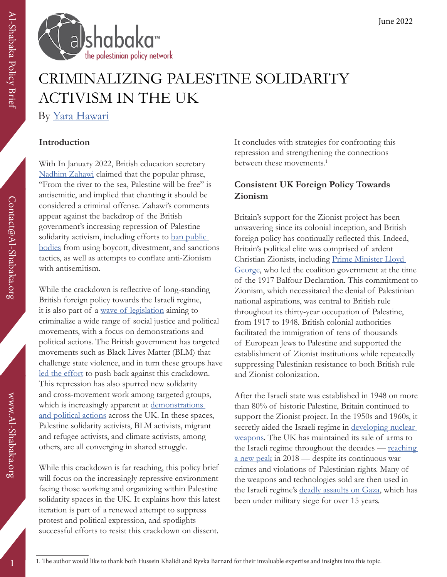

# CRIMINALIZING PALESTINE SOLIDARITY ACTIVISM IN THE UK By [Yara Hawari](https://al-shabaka.org/en/author/yara-hawari/)

### **Introduction**

With In January 2022, British education secretary [Nadhim Zahawi](https://www.middleeasteye.net/news/uk-government-minister-says-pro-palestinian-river-sea-chanters-could-be-referred-police) claimed that the popular phrase, "From the river to the sea, Palestine will be free" is antisemitic, and implied that chanting it should be considered a criminal offense. Zahawi's comments appear against the backdrop of the British government's increasing repression of Palestine solidarity activism, including efforts to ban public [bodies](https://www.jacobinmag.com/2022/02/uk-anti-boycott-divestment-sanctions-law-parliament) from using boycott, divestment, and sanctions tactics, as well as attempts to conflate anti-Zionism with antisemitism.

While the crackdown is reflective of long-standing British foreign policy towards the Israeli regime, it is also part of a [wave of legislation](https://gal-dem.com/every-bill-the-tories-are-trying-to-pass-2022/) aiming to criminalize a wide range of social justice and political movements, with a focus on demonstrations and political actions. The British government has targeted movements such as Black Lives Matter (BLM) that challenge state violence, and in turn these groups have [led the effort](https://www.theguardian.com/uk-news/2021/may/01/blm-groups-play-key-role-as-thousands-expected-at-kill-the-bill-protests) to push back against this crackdown. This repression has also spurred new solidarity and cross-movement work among targeted groups, which is increasingly apparent at demonstrations [and political actions](https://www.youtube.com/watch?v=udFOiojWzuU&t=1995s) across the UK. In these spaces, Palestine solidarity activists, BLM activists, migrant and refugee activists, and climate activists, among others, are all converging in shared struggle.

While this crackdown is far reaching, this policy brief will focus on the increasingly repressive environment facing those working and organizing within Palestine solidarity spaces in the UK. It explains how this latest iteration is part of a renewed attempt to suppress protest and political expression, and spotlights successful efforts to resist this crackdown on dissent.

It concludes with strategies for confronting this repression and strengthening the connections between these movements.<sup>1</sup>

### **Consistent UK Foreign Policy Towards Zionism**

Britain's support for the Zionist project has been unwavering since its colonial inception, and British foreign policy has continually reflected this. Indeed, Britain's political elite was comprised of ardent Christian Zionists, including [Prime Minister Lloyd](https://interactive.aljazeera.com/aje/2017/behind-balfour/index.html)  [George,](https://interactive.aljazeera.com/aje/2017/behind-balfour/index.html) who led the coalition government at the time of the 1917 Balfour Declaration. This commitment to Zionism, which necessitated the denial of Palestinian national aspirations, was central to British rule throughout its thirty-year occupation of Palestine, from 1917 to 1948. British colonial authorities facilitated the immigration of tens of thousands of European Jews to Palestine and supported the establishment of Zionist institutions while repeatedly suppressing Palestinian resistance to both British rule and Zionist colonization.

After the Israeli state was established in 1948 on more than 80% of historic Palestine, Britain continued to support the Zionist project. In the 1950s and 1960s, it secretly aided the Israeli regime in developing nuclear [weapons](https://www.theguardian.com/environment/2005/aug/04/energy.past). The UK has maintained its sale of arms to the Israeli regime throughout the decades — reaching [a new peak](https://www.theguardian.com/world/2018/may/27/british-arms-exports-israel-new-record) in 2018 — despite its continuous war crimes and violations of Palestinian rights. Many of the weapons and technologies sold are then used in the Israeli regime's [deadly assaults on Gaza](https://www.middleeasteye.net/opinion/gaza-testing-ground-israeli-military-technology), which has been under military siege for over 15 years.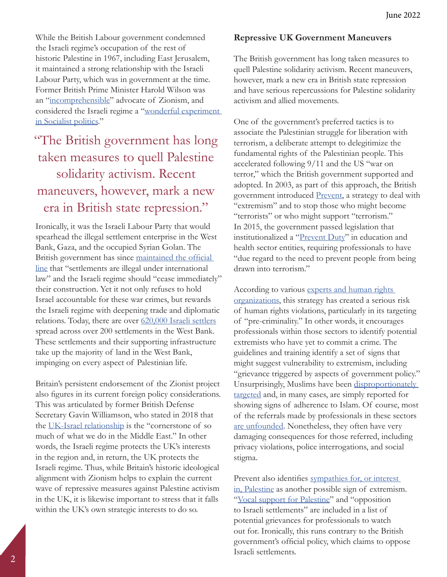While the British Labour government condemned the Israeli regime's occupation of the rest of historic Palestine in 1967, including East Jerusalem, it maintained a strong relationship with the Israeli Labour Party, which was in government at the time. Former British Prime Minister Harold Wilson was an "[incomprehensible"](https://www.timesofisrael.com/when-the-uks-left-wing-prime-minister-was-one-of-israels-closest-friends/) advocate of Zionism, and considered the Israeli regime a ["wonderful experiment](https://www.timesofisrael.com/when-the-uks-left-wing-prime-minister-was-one-of-israels-closest-friends/)  [in Socialist politics](https://www.timesofisrael.com/when-the-uks-left-wing-prime-minister-was-one-of-israels-closest-friends/)."

# "The British government has long taken measures to quell Palestine solidarity activism. Recent maneuvers, however, mark a new era in British state repression."

Ironically, it was the Israeli Labour Party that would spearhead the illegal settlement enterprise in the West Bank, Gaza, and the occupied Syrian Golan. The British government has since [maintained the official](https://www.gov.uk/government/news/uk-statement-on-israeli-settlements-january-2021)  [line](https://www.gov.uk/government/news/uk-statement-on-israeli-settlements-january-2021) that "settlements are illegal under international law" and the Israeli regime should "cease immediately" their construction. Yet it not only refuses to hold Israel accountable for these war crimes, but rewards the Israeli regime with deepening trade and diplomatic relations. Today, there are over [620,000 Israeli settlers](https://www.btselem.org/topic/settlements) spread across over 200 settlements in the West Bank. These settlements and their supporting infrastructure take up the majority of land in the West Bank, impinging on every aspect of Palestinian life.

Britain's persistent endorsement of the Zionist project also figures in its current foreign policy considerations. This was articulated by former British Defense Secretary Gavin Williamson, who stated in 2018 that the [UK-Israel relationship](https://cfoi.co.uk/defence-secretary-gavin-williamson-hails-israels-remarkable-achievements-on-70th-anniversary/) is the "cornerstone of so much of what we do in the Middle East." In other words, the Israeli regime protects the UK's interests in the region and, in return, the UK protects the Israeli regime. Thus, while Britain's historic ideological alignment with Zionism helps to explain the current wave of repressive measures against Palestine activism in the UK, it is likewise important to stress that it falls within the UK's own strategic interests to do so.

#### **Repressive UK Government Maneuvers**

The British government has long taken measures to quell Palestine solidarity activism. Recent maneuvers, however, mark a new era in British state repression and have serious repercussions for Palestine solidarity activism and allied movements.

One of the government's preferred tactics is to associate the Palestinian struggle for liberation with terrorism, a deliberate attempt to delegitimize the fundamental rights of the Palestinian people. This accelerated following 9/11 and the US "war on terror," which the British government supported and adopted. In 2003, as part of this approach, the British government introduced [Prevent,](https://www.gov.uk/government/publications/prevent-duty-guidance) a strategy to deal with "extremism" and to stop those who might become "terrorists" or who might support "terrorism." In 2015, the government passed legislation that institutionalized a ["Prevent Duty"](https://www.justiceinitiative.org/uploads/f87bd3ad-50fb-42d0-95a8-54ba85dce818/eroding-trust-20161017_0.pdf) in education and health sector entities, requiring professionals to have "due regard to the need to prevent people from being drawn into terrorism."

According to various [experts and human rights](https://www.amnesty.org/en/latest/news/2021/02/uk-ngos-condemn-appointment-of-william-shawcross-and-announce-civil-society-led-review-of-prevent/)  [organizations](https://www.amnesty.org/en/latest/news/2021/02/uk-ngos-condemn-appointment-of-william-shawcross-and-announce-civil-society-led-review-of-prevent/), this strategy has created a serious risk of human rights violations, particularly in its targeting of "pre-criminality." In other words, it encourages professionals within those sectors to identify potential extremists who have yet to commit a crime. The guidelines and training identify a set of signs that might suggest vulnerability to extremism, including "grievance triggered by aspects of government policy." Unsurprisingly, Muslims have been [disproportionately](https://www.justiceinitiative.org/uploads/f87bd3ad-50fb-42d0-95a8-54ba85dce818/eroding-trust-20161017_0.pdf)  [targeted](https://www.justiceinitiative.org/uploads/f87bd3ad-50fb-42d0-95a8-54ba85dce818/eroding-trust-20161017_0.pdf) and, in many cases, are simply reported for showing signs of adherence to Islam. Of course, most of the referrals made by professionals in these sectors [are unfounded](https://www.lrb.co.uk/the-paper/v39/n10/karma-nabulsi/don-t-go-to-the-doctor). Nonetheless, they often have very damaging consequences for those referred, including privacy violations, police interrogations, and social stigma.

Prevent also identifies sympathies for, or interest [in, Palestine](https://www.middleeasteye.net/news/uk-teachers-told-monitor-pro-palestine-students-extremism) as another possible sign of extremism. "[Vocal support for Palestine"](https://info.lse.ac.uk/staff/divisions/Secretarys-Division/Assets/Documents/Prevent/2016-04-30-LFHE-briefing-Module-1-Intro-to-the-Prevent-duty.pdf) and "opposition" to Israeli settlements" are included in a list of potential grievances for professionals to watch out for. Ironically, this runs contrary to the British government's official policy, which claims to oppose Israeli settlements.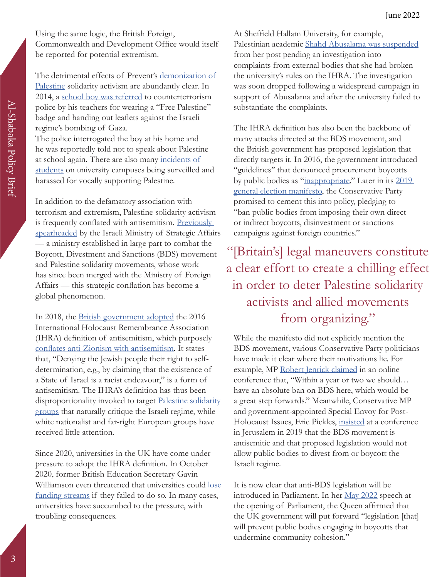Using the same logic, the British Foreign, Commonwealth and Development Office would itself be reported for potential extremism.

The detrimental effects of Prevent's demonization of [Palestine](https://www.lrb.co.uk/the-paper/v39/n10/karma-nabulsi/don-t-go-to-the-doctor#:~:text=The%20British%20government) solidarity activism are abundantly clear. In 2014, a [school boy was referred](https://www.independent.co.uk/news/uk/antiterror-police-question-schoolboy-for-wearing-propalestine-badge-a6873656.html) to counterterrorism police by his teachers for wearing a "Free Palestine" badge and handing out leaflets against the Israeli regime's bombing of Gaza.

The police interrogated the boy at his home and he was reportedly told not to speak about Palestine at school again. There are also many [incidents of](https://www.nusconnect.org.uk/campaigns/preventing-prevent-we-are-students-not-suspects)  [students](https://www.nusconnect.org.uk/campaigns/preventing-prevent-we-are-students-not-suspects) on university campuses being surveilled and harassed for vocally supporting Palestine.

In addition to the defamatory association with terrorism and extremism, Palestine solidarity activism is frequently conflated with antisemitism. Previously [spearheaded](https://www.palestine-studies.org/en/node/1649970) by the Israeli Ministry of Strategic Affairs — a ministry established in large part to combat the Boycott, Divestment and Sanctions (BDS) movement and Palestine solidarity movements, whose work has since been merged with the Ministry of Foreign Affairs — this strategic conflation has become a global phenomenon.

In 2018, the [British government adopted](https://commonslibrary.parliament.uk/uk-governments-adoption-of-the-ihra-definition-of-antisemitism/) the 2016 International Holocaust Remembrance Association (IHRA) definition of antisemitism, which purposely [conflates anti-Zionism with antisemitism](https://imeu.org/article/quick-facts-the-ihra-working-definition-of-anti-semitism). It states that, "Denying the Jewish people their right to selfdetermination, e.g., by claiming that the existence of a State of Israel is a racist endeavour," is a form of antisemitism. The IHRA's definition has thus been disproportionality invoked to target [Palestine solidarity](https://gal-dem.com/universities-ihra-guidelines-palestine/)  [groups](https://gal-dem.com/universities-ihra-guidelines-palestine/) that naturally critique the Israeli regime, while white nationalist and far-right European groups have received little attention.

Since 2020, universities in the UK have come under pressure to adopt the IHRA definition. In October 2020, former British Education Secretary Gavin Williamson even threatened that universities could lose [funding streams](https://www.theguardian.com/education/2020/oct/09/williamson-accuses-english-universities-of-ignoring-antisemitism) if they failed to do so. In many cases, universities have succumbed to the pressure, with troubling consequences.

At Sheffield Hallam University, for example, Palestinian academic [Shahd Abusalama was suspended](https://www.middleeasteye.net/news/uk-palestinian-academic-fully-reinstated-antisemitism-claims-dropped) from her post pending an investigation into complaints from external bodies that she had broken the university's rules on the IHRA. The investigation was soon dropped following a widespread campaign in support of Abusalama and after the university failed to substantiate the complaints.

The IHRA definition has also been the backbone of many attacks directed at the BDS movement, and the British government has proposed legislation that directly targets it. In 2016, the government introduced "guidelines'' that denounced procurement boycotts by public bodies as "[inappropriate.](https://www.theguardian.com/society/2016/feb/15/councils-and-nhs-trusts-to-be-blocked-from-boycotting-israeli-products)" Later in its 2019 [general election manifesto](https://www.conservatives.com/our-plan/conservative-party-manifesto-2019), the Conservative Party promised to cement this into policy, pledging to "ban public bodies from imposing their own direct or indirect boycotts, disinvestment or sanctions campaigns against foreign countries."

# "[Britain's] legal maneuvers constitute a clear effort to create a chilling effect in order to deter Palestine solidarity activists and allied movements from organizing."

While the manifesto did not explicitly mention the BDS movement, various Conservative Party politicians have made it clear where their motivations lie. For example, MP [Robert Jenrick claimed](https://english.alaraby.co.uk/news/uk-tories-want-law-absolute-ban-bds-mp) in an online conference that, "Within a year or two we should… have an absolute ban on BDS here, which would be a great step forwards." Meanwhile, Conservative MP and government-appointed Special Envoy for Post-Holocaust Issues, Eric Pickles, [insisted](https://www.independent.co.uk/news/uk/politics/boris-johnson-bds-law-israel-boycott-divestment-sanctions-palestine-a9248801.html) at a conference in Jerusalem in 2019 that the BDS movement is antisemitic and that proposed legislation would not allow public bodies to divest from or boycott the Israeli regime.

It is now clear that anti-BDS legislation will be introduced in Parliament. In her [May 2022](https://www.gov.uk/government/speeches/queens-speech-2022) speech at the opening of Parliament, the Queen affirmed that the UK government will put forward "legislation [that] will prevent public bodies engaging in boycotts that undermine community cohesion."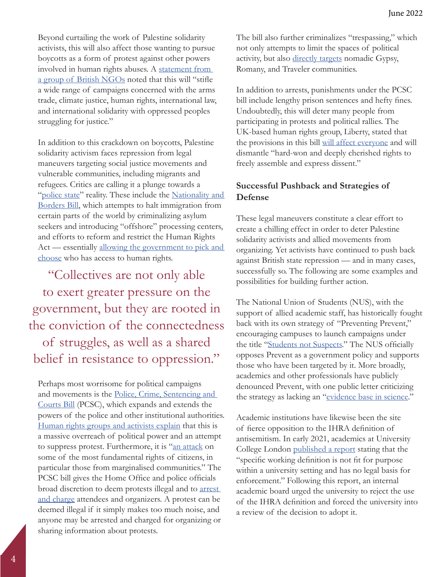Beyond curtailing the work of Palestine solidarity activists, this will also affect those wanting to pursue boycotts as a form of protest against other powers involved in human rights abuses. A [statement from](https://righttoboycott.org.uk/)  [a group of British NGOs](https://righttoboycott.org.uk/) noted that this will "stifle a wide range of campaigns concerned with the arms trade, climate justice, human rights, international law, and international solidarity with oppressed peoples struggling for justice."

In addition to this crackdown on boycotts, Palestine solidarity activism faces repression from legal maneuvers targeting social justice movements and vulnerable communities, including migrants and refugees. Critics are calling it a plunge towards a ["police state](https://gal-dem.com/every-bill-the-tories-are-trying-to-pass-2022/)" reality. These include the Nationality and [Borders Bill,](https://gal-dem.com/every-bill-the-tories-are-trying-to-pass-2022/) which attempts to halt immigration from certain parts of the world by criminalizing asylum seekers and introducing "offshore" processing centers, and efforts to reform and restrict the Human Rights Act — essentially [allowing the government to pick and](https://gal-dem.com/every-bill-the-tories-are-trying-to-pass-2022/)  [choose](https://gal-dem.com/every-bill-the-tories-are-trying-to-pass-2022/) who has access to human rights.

"Collectives are not only able to exert greater pressure on the government, but they are rooted in the conviction of the connectedness of struggles, as well as a shared belief in resistance to oppression."

Perhaps most worrisome for political campaigns and movements is the [Police, Crime, Sentencing and](https://bills.parliament.uk/bills/2839)  [Courts Bill](https://bills.parliament.uk/bills/2839) (PCSC), which expands and extends the powers of the police and other institutional authorities. [Human rights groups and activists explain](https://policebillalliance.org/home-secretary-and-secretary-of-state-for-justice/) that this is a massive overreach of political power and an attempt to suppress protest. Furthermore, it is "[an attack](https://www.independent.co.uk/news/uk/politics/boris-johnson-bds-law-israel-boycott-divestment-sanctions-palestine-a9248801.html) on some of the most fundamental rights of citizens, in particular those from marginalised communities." The PCSC bill gives the Home Office and police officials broad discretion to deem protests illegal and to arrest [and charge](https://ktbofficial.org/Flyer-Instructions.pdf) attendees and organizers. A protest can be deemed illegal if it simply makes too much noise, and anyone may be arrested and charged for organizing or sharing information about protests.

The bill also further criminalizes "trespassing," which not only attempts to limit the spaces of political activity, but also [directly targets](https://www.theguardian.com/commentisfree/2022/jan/12/uk-authoritarianism-minority-policing-bill-roma-gypsy-traveller) nomadic Gypsy, Romany, and Traveler communities.

In addition to arrests, punishments under the PCSC bill include lengthy prison sentences and hefty fines. Undoubtedly, this will deter many people from participating in protests and political rallies. The UK-based human rights group, Liberty, stated that the provisions in this bill [will affect everyone](https://www.libertyhumanrights.org.uk/wp-content/uploads/2021/03/Libertys-Briefing-on-the-Police-Crime-Sentencing-and-Courts-Bill-HoC-2nd-reading-March-2021-1.pdf) and will dismantle "hard-won and deeply cherished rights to freely assemble and express dissent."

#### **Successful Pushback and Strategies of Defense**

These legal maneuvers constitute a clear effort to create a chilling effect in order to deter Palestine solidarity activists and allied movements from organizing. Yet activists have continued to push back against British state repression — and in many cases, successfully so. The following are some examples and possibilities for building further action.

The National Union of Students (NUS), with the support of allied academic staff, has historically fought back with its own strategy of "Preventing Prevent," encouraging campuses to launch campaigns under the title ["Students not Suspects](https://www.nusconnect.org.uk/campaigns/preventing-prevent-we-are-students-not-suspects)." The NUS officially opposes Prevent as a government policy and supports those who have been targeted by it. More broadly, academics and other professionals have publicly denounced Prevent, with one public letter criticizing the strategy as lacking an ["evidence base in science](https://www.theguardian.com/politics/2016/sep/29/anti-radicalisation-strategy-lacks-evidence-base-in-science)."

Academic institutions have likewise been the site of fierce opposition to the IHRA definition of antisemitism. In early 2021, academics at University College London [published a report](https://www.theguardian.com/news/2021/feb/12/ucl-board-rejects-ihra-definition-of-antisemitism) stating that the "specific working definition is not fit for purpose within a university setting and has no legal basis for enforcement." Following this report, an internal academic board urged the university to reject the use of the IHRA definition and forced the university into a review of the decision to adopt it.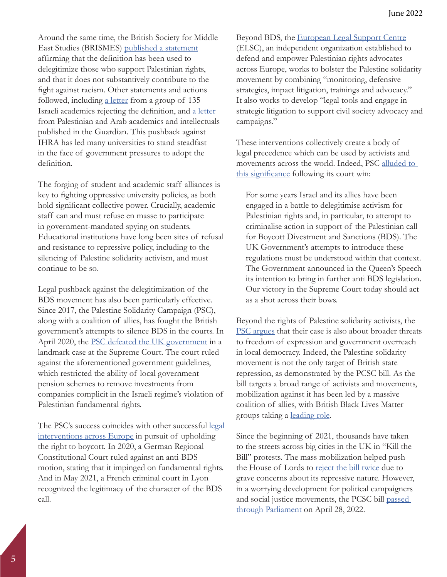Around the same time, the British Society for Middle East Studies (BRISMES) [published a statement](https://www.middleeastmonitor.com/wp-content/uploads/2021/02/20210207-IHRA-definition-statement-by-BRISMES.pdf) affirming that the definition has been used to delegitimize those who support Palestinian rights, and that it does not substantively contribute to the fight against racism. Other statements and actions followed, including [a letter](https://www.israeliacademicsuk.org/the-letter) from a group of 135 Israeli academics rejecting the definition, and [a letter](https://www.theguardian.com/news/2020/nov/29/palestinian-rights-and-the-ihra-definition-of-antisemitism) from Palestinian and Arab academics and intellectuals published in the Guardian. This pushback against IHRA has led many universities to stand steadfast in the face of government pressures to adopt the definition.

The forging of student and academic staff alliances is key to fighting oppressive university policies, as both hold significant collective power. Crucially, academic staff can and must refuse en masse to participate in government-mandated spying on students. Educational institutions have long been sites of refusal and resistance to repressive policy, including to the silencing of Palestine solidarity activism, and must continue to be so.

Legal pushback against the delegitimization of the BDS movement has also been particularly effective. Since 2017, the Palestine Solidarity Campaign (PSC), along with a coalition of allies, has fought the British government's attempts to silence BDS in the courts. In April 2020, the [PSC defeated the UK government](https://www.palestinecampaign.org/palestine-solidarity-campaign-defeats-uk-government-over-pensions-divestment/) in a landmark case at the Supreme Court. The court ruled against the aforementioned government guidelines, which restricted the ability of local government pension schemes to remove investments from companies complicit in the Israeli regime's violation of Palestinian fundamental rights.

The PSC's success coincides with other successful legal [interventions across Europe](https://elsc.support/defend/milestones) in pursuit of upholding the right to boycott. In 2020, a German Regional Constitutional Court ruled against an anti-BDS motion, stating that it impinged on fundamental rights. And in May 2021, a French criminal court in Lyon recognized the legitimacy of the character of the BDS call.

Beyond BDS, the [European Legal Support Centre](https://elsc.support/) (ELSC), an independent organization established to defend and empower Palestinian rights advocates across Europe, works to bolster the Palestine solidarity movement by combining "monitoring, defensive strategies, impact litigation, trainings and advocacy." It also works to develop "legal tools and engage in strategic litigation to support civil society advocacy and campaigns."

These interventions collectively create a body of legal precedence which can be used by activists and movements across the world. Indeed, PSC [alluded to](https://www.palestinecampaign.org/palestine-solidarity-campaign-defeats-uk-government-over-pensions-divestment/)  [this significance](https://www.palestinecampaign.org/palestine-solidarity-campaign-defeats-uk-government-over-pensions-divestment/) following its court win:

For some years Israel and its allies have been engaged in a battle to delegitimise activism for Palestinian rights and, in particular, to attempt to criminalise action in support of the Palestinian call for Boycott Divestment and Sanctions (BDS). The UK Government's attempts to introduce these regulations must be understood within that context. The Government announced in the Queen's Speech its intention to bring in further anti BDS legislation. Our victory in the Supreme Court today should act as a shot across their bows.

Beyond the rights of Palestine solidarity activists, the [PSC argues](https://www.palestinecampaign.org/palestine-solidarity-campaign-defeats-uk-government-over-pensions-divestment/) that their case is also about broader threats to freedom of expression and government overreach in local democracy. Indeed, the Palestine solidarity movement is not the only target of British state repression, as demonstrated by the PCSC bill. As the bill targets a broad range of activists and movements, mobilization against it has been led by a massive coalition of allies, with British Black Lives Matter groups taking a [leading role](https://www.theguardian.com/uk-news/2021/may/01/blm-groups-play-key-role-as-thousands-expected-at-kill-the-bill-protests).

Since the beginning of 2021, thousands have taken to the streets across big cities in the UK in "Kill the Bill" protests. The mass mobilization helped push the House of Lords to [reject the bill twice](https://bills.parliament.uk/bills/2839) due to grave concerns about its repressive nature. However, in a worrying development for political campaigners and social justice movements, the PCSC bill [passed](https://www.parliament.uk/business/news/2021/september-2021/lords-debates-police-crime-sentencing-and-courts-bill-at-second-reading/)  [through Parliament](https://www.parliament.uk/business/news/2021/september-2021/lords-debates-police-crime-sentencing-and-courts-bill-at-second-reading/) on April 28, 2022.